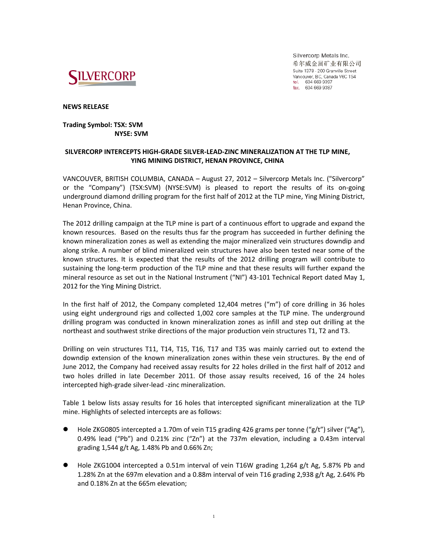

Silvercorp Metals Inc. 希尔威金属矿业有限公司 Suite 1378 - 200 Granville Street Vancouver, BC, Canada V6C 1S4 tel. 604 669 9397 fax. 604 669 9387

**NEWS RELEASE**

## **Trading Symbol: TSX: SVM NYSE: SVM**

# **SILVERCORP INTERCEPTS HIGH‐GRADE SILVER‐LEAD‐ZINC MINERALIZATION AT THE TLP MINE, YING MINING DISTRICT, HENAN PROVINCE, CHINA**

VANCOUVER, BRITISH COLUMBIA, CANADA – August 27, 2012 – Silvercorp Metals Inc. ("Silvercorp" or the "Company") (TSX:SVM) (NYSE:SVM) is pleased to report the results of its on‐going underground diamond drilling program for the first half of 2012 at the TLP mine, Ying Mining District, Henan Province, China.

The 2012 drilling campaign at the TLP mine is part of a continuous effort to upgrade and expand the known resources. Based on the results thus far the program has succeeded in further defining the known mineralization zones as well as extending the major mineralized vein structures downdip and along strike. A number of blind mineralized vein structures have also been tested near some of the known structures. It is expected that the results of the 2012 drilling program will contribute to sustaining the long-term production of the TLP mine and that these results will further expand the mineral resource as set out in the National Instrument ("NI") 43-101 Technical Report dated May 1, 2012 for the Ying Mining District.

In the first half of 2012, the Company completed 12,404 metres ("m") of core drilling in 36 holes using eight underground rigs and collected 1,002 core samples at the TLP mine. The underground drilling program was conducted in known mineralization zones as infill and step out drilling at the northeast and southwest strike directions of the major production vein structures T1, T2 and T3.

Drilling on vein structures T11, T14, T15, T16, T17 and T35 was mainly carried out to extend the downdip extension of the known mineralization zones within these vein structures. By the end of June 2012, the Company had received assay results for 22 holes drilled in the first half of 2012 and two holes drilled in late December 2011. Of those assay results received, 16 of the 24 holes intercepted high‐grade silver‐lead ‐zinc mineralization.

Table 1 below lists assay results for 16 holes that intercepted significant mineralization at the TLP mine. Highlights of selected intercepts are as follows:

- $\bullet$  Hole ZKG0805 intercepted a 1.70m of vein T15 grading 426 grams per tonne ("g/t") silver ("Ag"), 0.49% lead ("Pb") and 0.21% zinc ("Zn") at the 737m elevation, including a 0.43m interval grading 1,544 g/t Ag, 1.48% Pb and 0.66% Zn;
- Hole ZKG1004 intercepted a 0.51m interval of vein T16W grading 1,264 g/t Ag, 5.87% Pb and 1.28% Zn at the 697m elevation and a 0.88m interval of vein T16 grading 2,938 g/t Ag, 2.64% Pb and 0.18% Zn at the 665m elevation;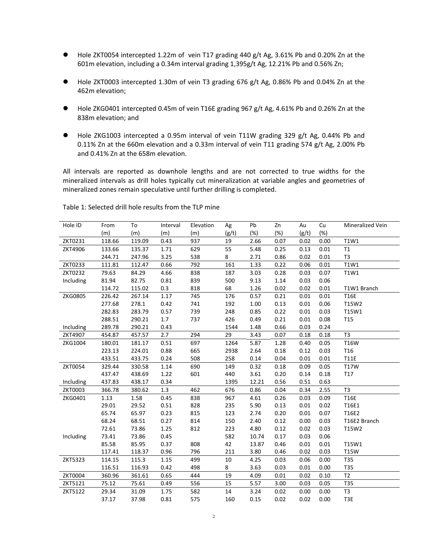- Hole ZKT0054 intercepted 1.22m of vein T17 grading 440 g/t Ag, 3.61% Pb and 0.20% Zn at the 601m elevation, including a 0.34m interval grading 1,395g/t Ag, 12.21% Pb and 0.56% Zn;
- Hole ZKT0003 intercepted 1.30m of vein T3 grading 676 g/t Ag, 0.86% Pb and 0.04% Zn at the 462m elevation;
- Hole ZKG0401 intercepted 0.45m of vein T16E grading 967 g/t Ag, 4.61% Pb and 0.26% Zn at the 838m elevation; and
- Hole ZKG1003 intercepted a 0.95m interval of vein T11W grading 329 g/t Ag, 0.44% Pb and 0.11% Zn at the 660m elevation and a 0.33m interval of vein T11 grading 574 g/t Ag, 2.00% Pb and 0.41% Zn at the 658m elevation.

All intervals are reported as downhole lengths and are not corrected to true widths for the mineralized intervals as drill holes typically cut mineralization at variable angles and geometries of mineralized zones remain speculative until further drilling is completed.

| Hole ID        | From   | To     | Interval | Elevation | Ag    | Pb     | Zn     | Au    | Cu   | Mineralized Vein |
|----------------|--------|--------|----------|-----------|-------|--------|--------|-------|------|------------------|
|                | (m)    | (m)    | (m)      | (m)       | (g/t) | $(\%)$ | $(\%)$ | (g/t) | (%)  |                  |
| ZKT0231        | 118.66 | 119.09 | 0.43     | 937       | 19    | 2.66   | 0.07   | 0.02  | 0.00 | T1W1             |
| ZKT4906        | 133.66 | 135.37 | 1.71     | 629       | 55    | 5.48   | 0.25   | 0.13  | 0.01 | T1               |
|                | 244.71 | 247.96 | 3.25     | 538       | 8     | 2.71   | 0.86   | 0.02  | 0.01 | T <sub>3</sub>   |
| ZKT0233        | 111.81 | 112.47 | 0.66     | 792       | 161   | 1.33   | 0.22   | 0.06  | 0.01 | T1W1             |
| ZKT0232        | 79.63  | 84.29  | 4.66     | 838       | 187   | 3.03   | 0.28   | 0.03  | 0.07 | T1W1             |
| Including      | 81.94  | 82.75  | 0.81     | 839       | 500   | 9.13   | 1.14   | 0.03  | 0.06 |                  |
|                | 114.72 | 115.02 | 0.3      | 818       | 68    | 1.26   | 0.02   | 0.02  | 0.01 | T1W1 Branch      |
| <b>ZKG0805</b> | 226.42 | 267.14 | 1.17     | 745       | 176   | 0.57   | 0.21   | 0.01  | 0.01 | <b>T16E</b>      |
|                | 277.68 | 278.1  | 0.42     | 741       | 192   | 1.00   | 0.13   | 0.01  | 0.06 | T15W2            |
|                | 282.83 | 283.79 | 0.57     | 739       | 248   | 0.85   | 0.22   | 0.01  | 0.03 | T15W1            |
|                | 288.51 | 290.21 | 1.7      | 737       | 426   | 0.49   | 0.21   | 0.01  | 0.08 | T <sub>15</sub>  |
| Including      | 289.78 | 290.21 | 0.43     |           | 1544  | 1.48   | 0.66   | 0.03  | 0.24 |                  |
| ZKT4907        | 454.87 | 457.57 | 2.7      | 294       | 29    | 3.43   | 0.07   | 0.18  | 0.18 | T <sub>3</sub>   |
| ZKG1004        | 180.01 | 181.17 | 0.51     | 697       | 1264  | 5.87   | 1.28   | 0.40  | 0.05 | <b>T16W</b>      |
|                | 223.13 | 224.01 | 0.88     | 665       | 2938  | 2.64   | 0.18   | 0.12  | 0.03 | T <sub>16</sub>  |
|                | 433.51 | 433.75 | 0.24     | 508       | 258   | 0.14   | 0.04   | 0.01  | 0.01 | <b>T11E</b>      |
| ZKT0054        | 329.44 | 330.58 | 1.14     | 690       | 149   | 0.32   | 0.18   | 0.09  | 0.05 | <b>T17W</b>      |
|                | 437.47 | 438.69 | 1.22     | 601       | 440   | 3.61   | 0.20   | 0.14  | 0.18 | T <sub>17</sub>  |
| Including      | 437.83 | 438.17 | 0.34     |           | 1395  | 12.21  | 0.56   | 0.51  | 0.63 |                  |
| ZKT0003        | 366.78 | 380.62 | 1.3      | 462       | 676   | 0.86   | 0.04   | 0.34  | 2.55 | T <sub>3</sub>   |
| ZKG0401        | 1.13   | 1.58   | 0.45     | 838       | 967   | 4.61   | 0.26   | 0.03  | 0.09 | <b>T16E</b>      |
|                | 29.01  | 29.52  | 0.51     | 828       | 235   | 5.90   | 0.13   | 0.01  | 0.02 | T16E1            |
|                | 65.74  | 65.97  | 0.23     | 815       | 123   | 2.74   | 0.20   | 0.01  | 0.07 | T16E2            |
|                | 68.24  | 68.51  | 0.27     | 814       | 150   | 2.40   | 0.12   | 0.00  | 0.03 | T16E2 Branch     |
|                | 72.61  | 73.86  | 1.25     | 812       | 223   | 4.80   | 0.12   | 0.02  | 0.03 | T15W2            |
| Including      | 73.41  | 73.86  | 0.45     |           | 582   | 10.74  | 0.17   | 0.03  | 0.06 |                  |
|                | 85.58  | 85.95  | 0.37     | 808       | 42    | 13.87  | 0.46   | 0.01  | 0.01 | T15W1            |
|                | 117.41 | 118.37 | 0.96     | 796       | 211   | 3.80   | 0.46   | 0.02  | 0.03 | <b>T15W</b>      |
| ZKT5323        | 114.15 | 115.3  | 1.15     | 499       | 10    | 4.25   | 0.03   | 0.06  | 0.00 | <b>T35</b>       |
|                | 116.51 | 116.93 | 0.42     | 498       | 8     | 3.63   | 0.03   | 0.01  | 0.00 | <b>T35</b>       |
| <b>ZKT0004</b> | 360.96 | 361.61 | 0.65     | 444       | 19    | 4.09   | 0.01   | 0.02  | 0.10 | T2               |
| ZKT5121        | 75.12  | 75.61  | 0.49     | 556       | 15    | 5.57   | 3.00   | 0.03  | 0.05 | <b>T35</b>       |
| ZKT5122        | 29.34  | 31.09  | 1.75     | 582       | 14    | 3.24   | 0.02   | 0.00  | 0.00 | T <sub>3</sub>   |
|                | 37.17  | 37.98  | 0.81     | 575       | 160   | 0.15   | 0.02   | 0.02  | 0.00 | T3E              |
|                |        |        |          |           |       |        |        |       |      |                  |

Table 1: Selected drill hole results from the TLP mine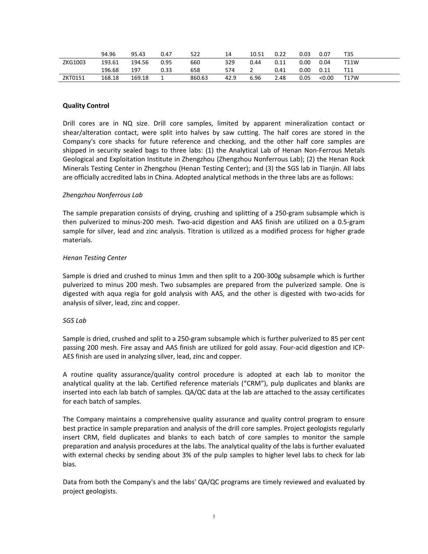|         | 94.96  | 95.43  | 0.47 | 522    | 14   | 10.51 | 0.22 | 0.03 | 0.07   | <b>T35</b>  |
|---------|--------|--------|------|--------|------|-------|------|------|--------|-------------|
| ZKG1003 | 193.61 | 194.56 | 0.95 | 660    | 329  | 0.44  | 0.11 | 0.00 | 0.04   | <b>T11W</b> |
|         | 196.68 | 197    | 0.33 | 658    | 574  |       | 0.41 | 0.00 | 0.11   | T11         |
| ZKT0151 | 168.18 | 169.18 |      | 860.63 | 42.9 | 6.96  | 2.48 | 0.05 | < 0.00 | T17W        |

## **Quality Control**

Drill cores are in NQ size. Drill core samples, limited by apparent mineralization contact or shear/alteration contact, were split into halves by saw cutting. The half cores are stored in the Company's core shacks for future reference and checking, and the other half core samples are shipped in security sealed bags to three labs: (1) the Analytical Lab of Henan Non-Ferrous Metals Geological and Exploitation Institute in Zhengzhou (Zhengzhou Nonferrous Lab); (2) the Henan Rock Minerals Testing Center in Zhengzhou (Henan Testing Center); and (3) the SGS lab in Tianjin. All labs are officially accredited labs in China. Adopted analytical methods in the three labs are as follows:

## *Zhengzhou Nonferrous Lab*

The sample preparation consists of drying, crushing and splitting of a 250‐gram subsample which is then pulverized to minus‐200 mesh. Two‐acid digestion and AAS finish are utilized on a 0.5‐gram sample for silver, lead and zinc analysis. Titration is utilized as a modified process for higher grade materials.

## *Henan Testing Center*

Sample is dried and crushed to minus 1mm and then split to a 200‐300g subsample which is further pulverized to minus 200 mesh. Two subsamples are prepared from the pulverized sample. One is digested with aqua regia for gold analysis with AAS, and the other is digested with two‐acids for analysis of silver, lead, zinc and copper.

#### *SGS Lab*

Sample is dried, crushed and split to a 250‐gram subsample which is further pulverized to 85 per cent passing 200 mesh. Fire assay and AAS finish are utilized for gold assay. Four‐acid digestion and ICP‐ AES finish are used in analyzing silver, lead, zinc and copper.

A routine quality assurance/quality control procedure is adopted at each lab to monitor the analytical quality at the lab. Certified reference materials ("CRM"), pulp duplicates and blanks are inserted into each lab batch of samples. QA/QC data at the lab are attached to the assay certificates for each batch of samples.

The Company maintains a comprehensive quality assurance and quality control program to ensure best practice in sample preparation and analysis of the drill core samples. Project geologists regularly insert CRM, field duplicates and blanks to each batch of core samples to monitor the sample preparation and analysis procedures at the labs. The analytical quality of the labs is further evaluated with external checks by sending about 3% of the pulp samples to higher level labs to check for lab bias.

Data from both the Company's and the labs' QA/QC programs are timely reviewed and evaluated by project geologists.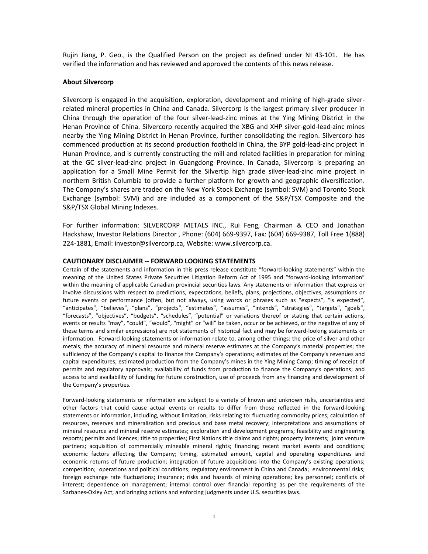Rujin Jiang, P. Geo., is the Qualified Person on the project as defined under NI 43‐101. He has verified the information and has reviewed and approved the contents of this news release.

#### **About Silvercorp**

Silvercorp is engaged in the acquisition, exploration, development and mining of high‐grade silver‐ related mineral properties in China and Canada. Silvercorp is the largest primary silver producer in China through the operation of the four silver‐lead‐zinc mines at the Ying Mining District in the Henan Province of China. Silvercorp recently acquired the XBG and XHP silver-gold-lead-zinc mines nearby the Ying Mining District in Henan Province, further consolidating the region. Silvercorp has commenced production at its second production foothold in China, the BYP gold‐lead‐zinc project in Hunan Province, and is currently constructing the mill and related facilities in preparation for mining at the GC silver‐lead‐zinc project in Guangdong Province. In Canada, Silvercorp is preparing an application for a Small Mine Permit for the Silvertip high grade silver‐lead‐zinc mine project in northern British Columbia to provide a further platform for growth and geographic diversification. The Company's shares are traded on the New York Stock Exchange (symbol: SVM) and Toronto Stock Exchange (symbol: SVM) and are included as a component of the S&P/TSX Composite and the S&P/TSX Global Mining Indexes.

For further information: SILVERCORP METALS INC., Rui Feng, Chairman & CEO and Jonathan Hackshaw, Investor Relations Director , Phone: (604) 669‐9397, Fax: (604) 669‐9387, Toll Free 1(888) 224‐1881, Email: investor@silvercorp.ca, Website: www.silvercorp.ca.

#### **CAUTIONARY DISCLAIMER ‐‐ FORWARD LOOKING STATEMENTS**

Certain of the statements and information in this press release constitute "forward‐looking statements" within the meaning of the United States Private Securities Litigation Reform Act of 1995 and "forward-looking information" within the meaning of applicable Canadian provincial securities laws. Any statements or information that express or involve discussions with respect to predictions, expectations, beliefs, plans, projections, objectives, assumptions or future events or performance (often, but not always, using words or phrases such as "expects", "is expected", "anticipates", "believes", "plans", "projects", "estimates", "assumes", "intends", "strategies", "targets", "goals", "forecasts", "objectives", "budgets", "schedules", "potential" or variations thereof or stating that certain actions, events or results "may", "could", "would", "might" or "will" be taken, occur or be achieved, or the negative of any of these terms and similar expressions) are not statements of historical fact and may be forward‐looking statements or information. Forward-looking statements or information relate to, among other things: the price of silver and other metals; the accuracy of mineral resource and mineral reserve estimates at the Company's material properties; the sufficiency of the Company's capital to finance the Company's operations; estimates of the Company's revenues and capital expenditures; estimated production from the Company's mines in the Ying Mining Camp; timing of receipt of permits and regulatory approvals; availability of funds from production to finance the Company's operations; and access to and availability of funding for future construction, use of proceeds from any financing and development of the Company's properties.

Forward‐looking statements or information are subject to a variety of known and unknown risks, uncertainties and other factors that could cause actual events or results to differ from those reflected in the forward‐looking statements or information, including, without limitation, risks relating to: fluctuating commodity prices; calculation of resources, reserves and mineralization and precious and base metal recovery; interpretations and assumptions of mineral resource and mineral reserve estimates; exploration and development programs; feasibility and engineering reports; permits and licences; title to properties; First Nations title claims and rights; property interests; joint venture partners; acquisition of commercially mineable mineral rights; financing; recent market events and conditions; economic factors affecting the Company; timing, estimated amount, capital and operating expenditures and economic returns of future production; integration of future acquisitions into the Company's existing operations; competition; operations and political conditions; regulatory environment in China and Canada; environmental risks; foreign exchange rate fluctuations; insurance; risks and hazards of mining operations; key personnel; conflicts of interest; dependence on management; internal control over financial reporting as per the requirements of the Sarbanes-Oxley Act; and bringing actions and enforcing judgments under U.S. securities laws.